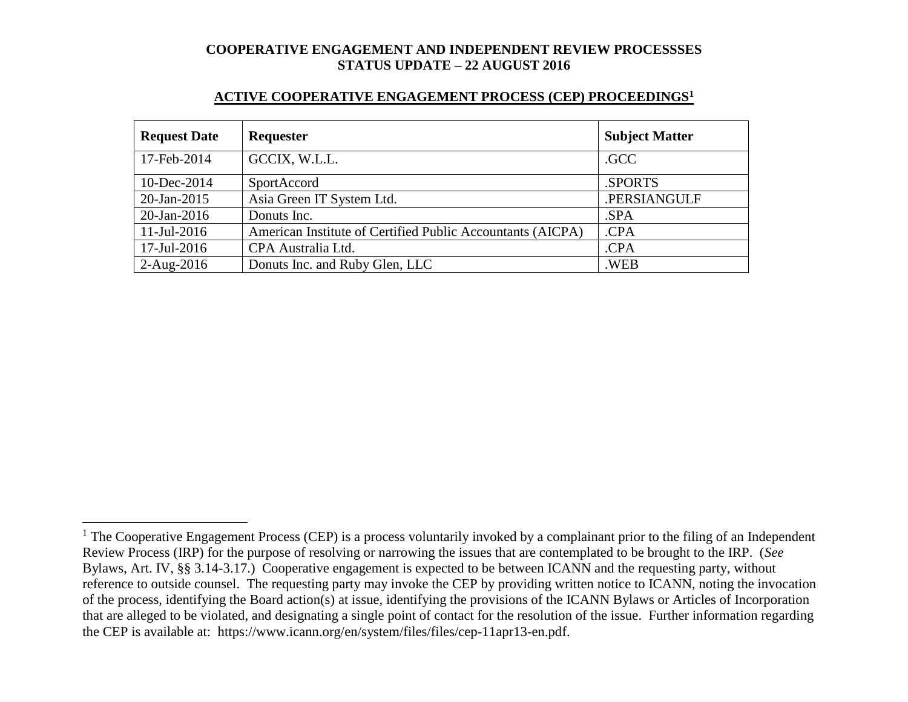#### **ACTIVE COOPERATIVE ENGAGEMENT PROCESS (CEP) PROCEEDINGS<sup>1</sup>**

| <b>Request Date</b> | <b>Requester</b>                                           | <b>Subject Matter</b> |
|---------------------|------------------------------------------------------------|-----------------------|
| 17-Feb-2014         | GCCIX, W.L.L.                                              | .GCC                  |
| 10-Dec-2014         | SportAccord                                                | .SPORTS               |
| $20$ -Jan-2015      | Asia Green IT System Ltd.                                  | .PERSIANGULF          |
| $20$ -Jan-2016      | Donuts Inc.                                                | SPA                   |
| $11$ -Jul-2016      | American Institute of Certified Public Accountants (AICPA) | .CPA                  |
| 17-Jul-2016         | CPA Australia Ltd.                                         | .CPA                  |
| $2-Aug-2016$        | Donuts Inc. and Ruby Glen, LLC                             | .WEB                  |

 $\overline{a}$ 

 $1$  The Cooperative Engagement Process (CEP) is a process voluntarily invoked by a complainant prior to the filing of an Independent Review Process (IRP) for the purpose of resolving or narrowing the issues that are contemplated to be brought to the IRP. (*See* Bylaws, Art. IV, §§ 3.14-3.17.) Cooperative engagement is expected to be between ICANN and the requesting party, without reference to outside counsel. The requesting party may invoke the CEP by providing written notice to ICANN, noting the invocation of the process, identifying the Board action(s) at issue, identifying the provisions of the ICANN Bylaws or Articles of Incorporation that are alleged to be violated, and designating a single point of contact for the resolution of the issue. Further information regarding the CEP is available at: https://www.icann.org/en/system/files/files/cep-11apr13-en.pdf.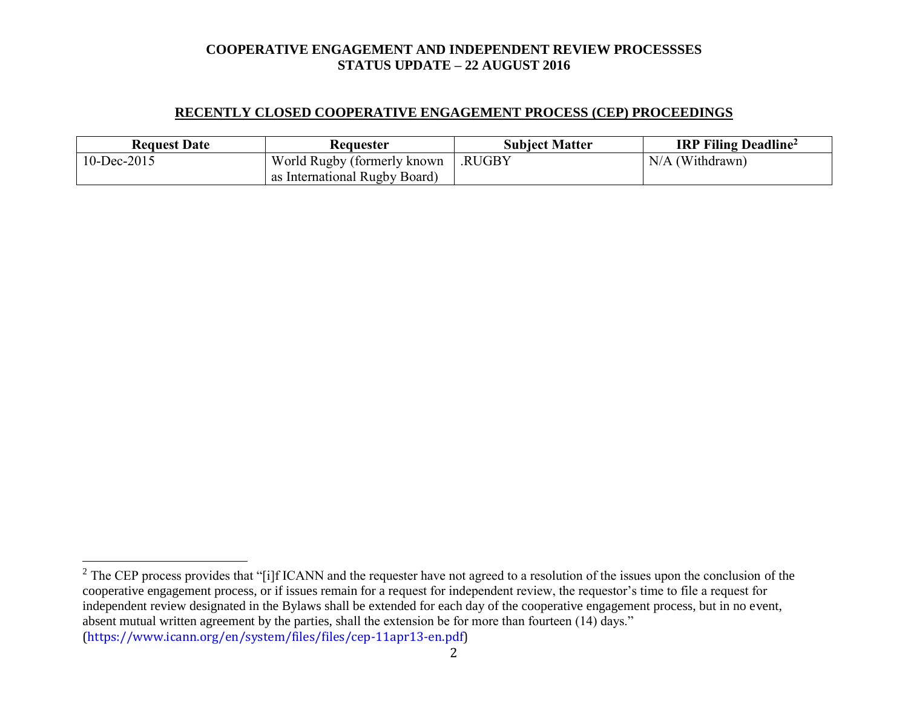### **RECENTLY CLOSED COOPERATIVE ENGAGEMENT PROCESS (CEP) PROCEEDINGS**

| <b>Request Date</b> | <b>Requester</b>              | <b>Subject Matter</b> | <b>IRP Filing Deadline</b> <sup>2</sup> |
|---------------------|-------------------------------|-----------------------|-----------------------------------------|
| 10-Dec-2015         | World Rugby (formerly known)  | .RUGBY                | $N/A$ (Withdrawn)                       |
|                     | as International Rugby Board) |                       |                                         |

 $\overline{a}$ 

2

 $2^2$  The CEP process provides that "[i]f ICANN and the requester have not agreed to a resolution of the issues upon the conclusion of the cooperative engagement process, or if issues remain for a request for independent review, the requestor's time to file a request for independent review designated in the Bylaws shall be extended for each day of the cooperative engagement process, but in no event, absent mutual written agreement by the parties, shall the extension be for more than fourteen (14) days." (https://www.icann.org/en/system/files/files/cep-11apr13-en.pdf)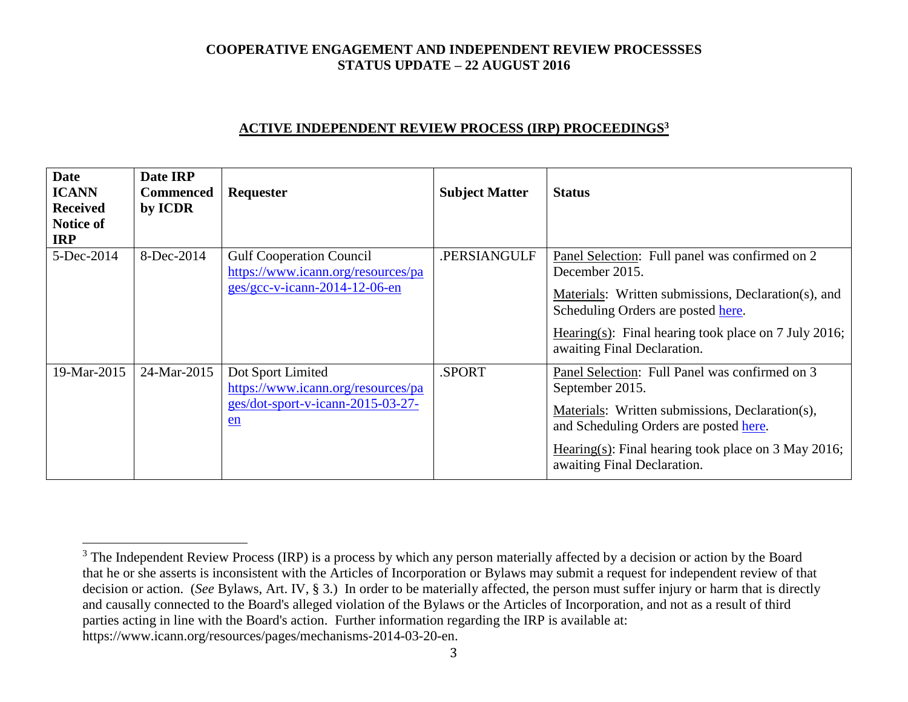## **ACTIVE INDEPENDENT REVIEW PROCESS (IRP) PROCEEDINGS<sup>3</sup>**

| <b>Date</b><br><b>ICANN</b><br><b>Received</b><br><b>Notice of</b><br><b>IRP</b> | Date IRP<br><b>Commenced</b><br>by ICDR | Requester                                                                                                | <b>Subject Matter</b> | <b>Status</b>                                                                                                                                                                                                                                          |
|----------------------------------------------------------------------------------|-----------------------------------------|----------------------------------------------------------------------------------------------------------|-----------------------|--------------------------------------------------------------------------------------------------------------------------------------------------------------------------------------------------------------------------------------------------------|
| 5-Dec-2014                                                                       | 8-Dec-2014                              | <b>Gulf Cooperation Council</b><br>https://www.icann.org/resources/pa<br>$ges/gcc-v-icann-2014-12-06-en$ | .PERSIANGULF          | Panel Selection: Full panel was confirmed on 2<br>December 2015.<br>Materials: Written submissions, Declaration(s), and<br>Scheduling Orders are posted here.<br>Hearing(s): Final hearing took place on 7 July 2016;<br>awaiting Final Declaration.   |
| 19-Mar-2015                                                                      | 24-Mar-2015                             | Dot Sport Limited<br>https://www.icann.org/resources/pa<br>ges/dot-sport-v-icann-2015-03-27-<br>en       | .SPORT                | Panel Selection: Full Panel was confirmed on 3<br>September 2015.<br>Materials: Written submissions, Declaration(s),<br>and Scheduling Orders are posted here.<br>Hearing(s): Final hearing took place on $3$ May 2016;<br>awaiting Final Declaration. |

 $\overline{a}$ 

<sup>&</sup>lt;sup>3</sup> The Independent Review Process (IRP) is a process by which any person materially affected by a decision or action by the Board that he or she asserts is inconsistent with the Articles of Incorporation or Bylaws may submit a request for independent review of that decision or action. (*See* Bylaws, Art. IV, § 3.) In order to be materially affected, the person must suffer injury or harm that is directly and causally connected to the Board's alleged violation of the Bylaws or the Articles of Incorporation, and not as a result of third parties acting in line with the Board's action. Further information regarding the IRP is available at: https://www.icann.org/resources/pages/mechanisms-2014-03-20-en.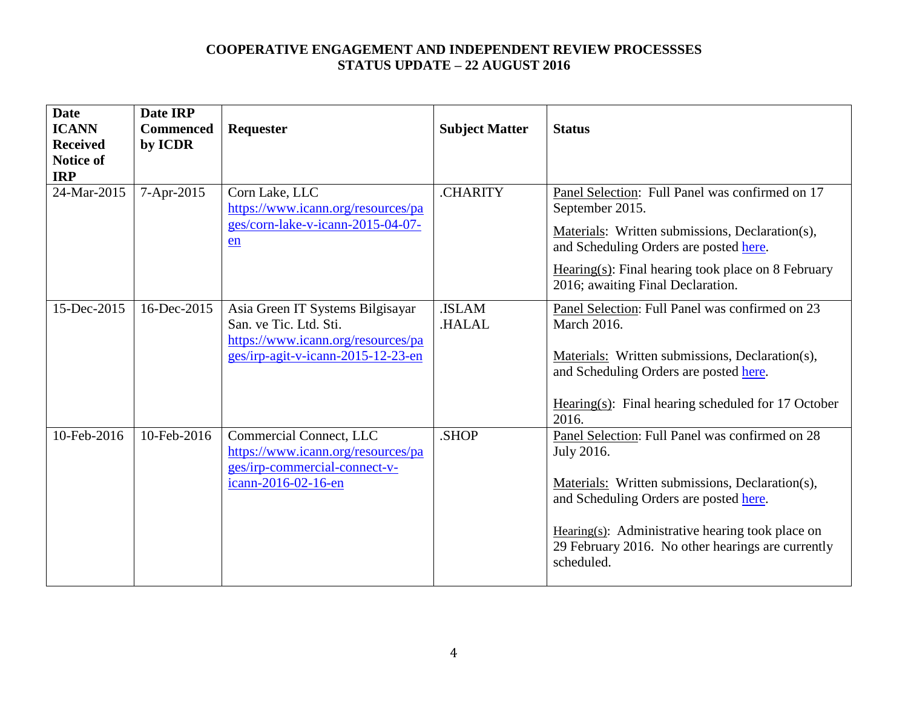| <b>Date</b><br><b>ICANN</b><br><b>Received</b><br><b>Notice of</b> | Date IRP<br><b>Commenced</b><br>by ICDR | Requester                                                                                                                              | <b>Subject Matter</b>        | <b>Status</b>                                                                                                                                                                                                                                                                     |
|--------------------------------------------------------------------|-----------------------------------------|----------------------------------------------------------------------------------------------------------------------------------------|------------------------------|-----------------------------------------------------------------------------------------------------------------------------------------------------------------------------------------------------------------------------------------------------------------------------------|
| <b>IRP</b><br>24-Mar-2015                                          | 7-Apr-2015                              | Corn Lake, LLC<br>https://www.icann.org/resources/pa<br>ges/corn-lake-v-icann-2015-04-07-<br>en                                        | <b>CHARITY</b>               | Panel Selection: Full Panel was confirmed on 17<br>September 2015.<br>Materials: Written submissions, Declaration(s),<br>and Scheduling Orders are posted here.<br>$Hearing(s): Final hearing took place on 8 February$<br>2016; awaiting Final Declaration.                      |
| 15-Dec-2015                                                        | 16-Dec-2015                             | Asia Green IT Systems Bilgisayar<br>San. ve Tic. Ltd. Sti.<br>https://www.icann.org/resources/pa<br>ges/irp-agit-v-icann-2015-12-23-en | <b>ISLAM</b><br><b>HALAL</b> | Panel Selection: Full Panel was confirmed on 23<br><b>March 2016.</b><br>Materials: Written submissions, Declaration(s),<br>and Scheduling Orders are posted here.<br>Hearing(s): Final hearing scheduled for 17 October<br>2016.                                                 |
| 10-Feb-2016                                                        | 10-Feb-2016                             | Commercial Connect, LLC<br>https://www.icann.org/resources/pa<br>ges/irp-commercial-connect-v-<br>icann-2016-02-16-en                  | .SHOP                        | Panel Selection: Full Panel was confirmed on 28<br>July 2016.<br>Materials: Written submissions, Declaration(s),<br>and Scheduling Orders are posted here.<br>Hearing(s): Administrative hearing took place on<br>29 February 2016. No other hearings are currently<br>scheduled. |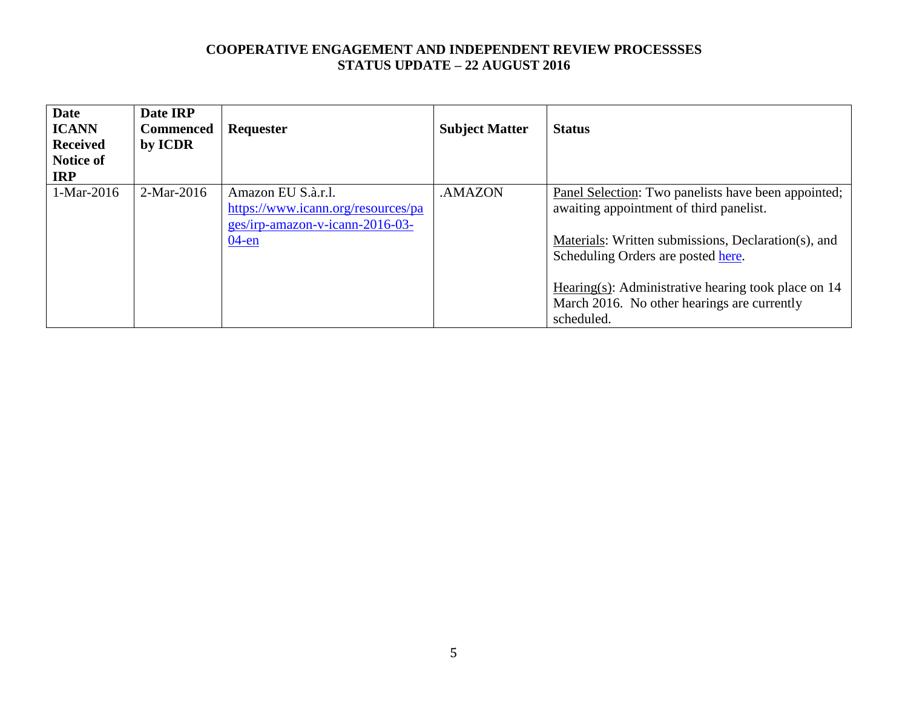| <b>Date</b><br><b>ICANN</b><br><b>Received</b><br><b>Notice of</b><br><b>IRP</b> | Date IRP<br><b>Commenced</b><br>by ICDR | Requester                                                                                               | <b>Subject Matter</b> | <b>Status</b>                                                                                                                                            |
|----------------------------------------------------------------------------------|-----------------------------------------|---------------------------------------------------------------------------------------------------------|-----------------------|----------------------------------------------------------------------------------------------------------------------------------------------------------|
| 1-Mar-2016                                                                       | $2-Mar-2016$                            | Amazon EU S.à.r.l.<br>https://www.icann.org/resources/pa<br>ges/irp-amazon-v-icann-2016-03-<br>$04$ -en | .AMAZON               | Panel Selection: Two panelists have been appointed;<br>awaiting appointment of third panelist.<br>Materials: Written submissions, Declaration(s), and    |
|                                                                                  |                                         |                                                                                                         |                       | Scheduling Orders are posted here.<br>Hearing(s): Administrative hearing took place on $14$<br>March 2016. No other hearings are currently<br>scheduled. |